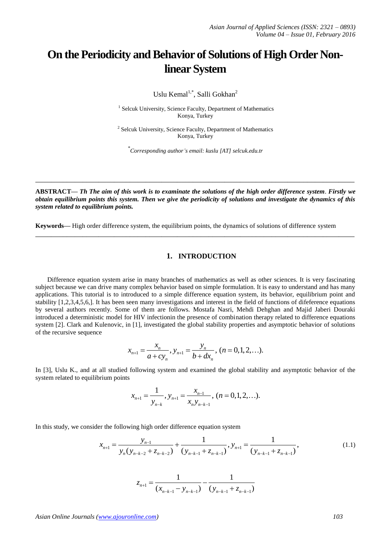## **On the Periodicity and Behavior of Solutions of High Order Nonlinear System**

Uslu Kemal<sup>1,\*</sup>, Salli Gokhan<sup>2</sup>

<sup>1</sup> Selcuk University, Science Faculty, Department of Mathematics Konya, Turkey

<sup>2</sup> Selcuk University, Science Faculty, Department of Mathematics Konya, Turkey

\* *Corresponding author's email: kuslu [AT] selcuk.edu.tr*

**ABSTRACT—** *Th The aim of this work is to examinate the solutions of the high order difference system*. *Firstly we obtain equilibrium points this system. Then we give the periodicity of solutions and investigate the dynamics of this system related to equilibrium points.*

**\_\_\_\_\_\_\_\_\_\_\_\_\_\_\_\_\_\_\_\_\_\_\_\_\_\_\_\_\_\_\_\_\_\_\_\_\_\_\_\_\_\_\_\_\_\_\_\_\_\_\_\_\_\_\_\_\_\_\_\_\_\_\_\_\_\_\_\_\_\_\_\_\_\_\_\_\_\_\_\_\_**

**\_\_\_\_\_\_\_\_\_\_\_\_\_\_\_\_\_\_\_\_\_\_\_\_\_\_\_\_\_\_\_\_\_\_\_\_\_\_\_\_\_\_\_\_\_\_\_\_\_\_\_\_\_\_\_\_\_\_\_\_\_\_\_\_\_\_\_\_\_\_\_\_\_\_\_\_\_\_\_\_\_**

**Keywords—** High order difference system, the equilibrium points, the dynamics of solutions of difference system

## **1. INTRODUCTION**

Difference equation system arise in many branches of mathematics as well as other sciences. It is very fascinating subject because we can drive many complex behavior based on simple formulation. It is easy to understand and has many applications. This tutorial is to introduced to a simple difference equation system, its behavior, equilibrium point and stability [1,2,3,4,5,6,]. It has been seen many investigations and interest in the field of functions of difeference equations by several authors recently. Some of them are follows. Mostafa Nasri, Mehdi Dehghan and Majid Jaberi Douraki introduced a deterministic model for HIV infectionin the presence of combination therapy related to difference equations system [2]. Clark and Kulenovic, in [1], investigated the global stability properties and asymptotic behavior of solutions of the recursive sequence

$$
x_{n+1} = \frac{x_n}{a + cy_n}, y_{n+1} = \frac{y_n}{b + dx_n}, (n = 0, 1, 2, \ldots).
$$

In [3], Uslu K., and at all studied following system and examined the global stability and asymptotic behavior of the system related to equilibrium points

$$
x_{n+1} = \frac{1}{y_{n-k}}, y_{n+1} = \frac{x_{n-1}}{x_n y_{n-k-1}}, (n = 0, 1, 2, \ldots).
$$

In this study, we consider the following high order difference equation system

er the following high order difference equation system  
\n
$$
x_{n+1} = \frac{y_{n-1}}{y_n(y_{n-k-2} + z_{n-k-2})} + \frac{1}{(y_{n-k-1} + z_{n-k-1})}, y_{n+1} = \frac{1}{(y_{n-k-1} + z_{n-k-1})},
$$
\n(1.1)

$$
z_{n+1} = \frac{1}{(x_{n-k-1} - y_{n-k-1})} - \frac{1}{(y_{n-k-1} + z_{n-k-1})}
$$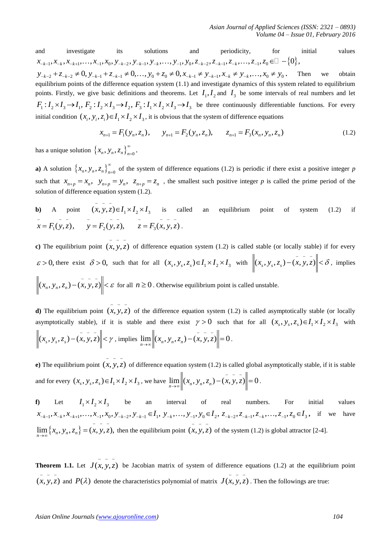and investigate its solutions and periodicity, for initial values and investigate its solutions and periodicity, for initial  $x_{-k-1}, x_{-k}, x_{-k+1},..., x_{-1}, x_0, y_{-k-2}, y_{-k-1}, y_{-k},..., y_{-1}, y_0, z_{-k-2}, z_{-k-1}, z_{-k},..., z_{-1}, z_0 \in \mathbb{Z} - \{0\}$ ,  $y_{-k-2} + z_{-k-2} \neq 0, y_{-k-1} + z_{-k-1} \neq 0,..., y_0 + z_0 \neq 0, x$ and investigate its solutions and periodicity, for initial values<br>  $x_{-k-1}, x_{-k}, x_{-k+1},..., x_{-1}, x_0, y_{-k-2}, y_{-k-1}, y_+,..., y_{-1}, y_0, z_{-k-2}, z_{-k-1}, z_{-k},..., z_{-1}, z_0 \in \mathbb{Z} - \{0\},$ <br>  $y_{-k-2} + z_{-k-2} \neq 0, y_{-k-1} + z_{-k-1} \neq 0,..., y_0 + z_0 \$ 

equilibrium points of the difference equation system (1.1) and investigate dynamics of this system related to equilibrium points. Firstly, we give basic definitions and theorems. Let  $I_1, I_2$  and  $I_3$  be some intervals of real numbers and let boints. Firstly, we give basic definitions and theorems. Let  $I_1, I_2$  and  $I_3$  be some intervals of real numbers and let  $F_1: I_2 \times I_3 \rightarrow I_1$ ,  $F_2: I_2 \times I_3 \rightarrow I_2$ ,  $F_3: I_1 \times I_2 \times I_3 \rightarrow I_3$  be three continuously different initial condition  $(x_i, y_i, z_i) \in I_1 \times I_2 \times I_3$ , it is obvious that the system of difference equations<br>  $x_{n+1} = F_1(y_n, z_n), \qquad y_{n+1} = F_2(y_n, z_n), \qquad z_{n+1} = F_3(x_n, y_n, z_n)$  (1.2)

$$
x_{n+1} = F_1(y_n, z_n), \qquad y_{n+1} = F_2(y_n, z_n), \qquad z_{n+1} = F_3(x_n, y_n, z_n)
$$
 (1.2)

has a unique solution  $\{x_n, y_n, z_n\}_{n=0}^{\infty}$  $\overline{z} = 0$ .

**a**) A solution  $\{x_n, y_n, z_n\}_{n=0}^{\infty}$  $_{=0}$  of the system of difference equations (1.2) is periodic if there exist a positive integer *p* such that  $x_{n+p} = x_n$ ,  $y_{n+p} = y_n$ ,  $z_{n+p} = z_n$ , the smallest such positive integer *p* is called the prime period of the solution of difference equation system (1.2).

**b)** A point 
$$
(x, y, z) \in I_1 \times I_2 \times I_3
$$
 is called an equilibrium point of system (1.2) if  $\bar{x} = F_1(y, \bar{z}), \quad y = F_2(y, \bar{z}), \quad z = F_3(x, y, \bar{z}).$ 

**c**) The equilibrium point  $(x, y, z)$ of difference equation system (1.2) is called stable (or locally stable) if for every  $\varepsilon > 0$ , there exist  $\delta > 0$ , such that for all  $(x_s, y_s, z_s) \in I_1 \times I_2 \times I_3$  with  $\left\|(x_s, y_s, z_s) - (x, y, z)\right\| < \delta$ , implies  $(x_n, y_n, z_n) - (x, y, z)$   $\leq \varepsilon$  for all  $n \geq 0$ . Otherwise equilibrium point is called unstable.

**d**) The equilibrium point  $(x, y, z)$  of the difference equation system (1.2) is called asymptotically stable (or locally  $$ asymptotically stable), if it is stable and there exist  $\gamma > 0$  such that for all  $(x_s, y_s, z_s) \in I_1 \times I_2 \times I_3$  with  $(x_s, y_s, z_s) - (x, y, z)$   $\leq \gamma$ , implies  $\lim_{n \to \infty}$   $\left\| (x_n, y_n, z_n) - (x, y, z) \right\| = 0$  $\lim_{n \to \infty}$   $\left\|(x_n, y_n, z_n) - (x, y, z)\right\| = 0.$ 

**e**) The equilibrium point  $(x, y, z)$ of difference equation system (1.2) is called global asymptotically stable, if it is stable and for every  $(x_s, y_s, z_s) \in I_1 \times I_2 \times I_3$ , we have  $\lim_{n \to \infty} \left\|(x_n, y_n, z_n) - (x, y, z)\right\| = 0$  $\lim_{n \to \infty}$   $\left\| (x_n, y_n, z_n) - (x, y, z) \right\| = 0.$ 

**f)** Let  $I_1 \times I_2 \times I_3$  be an interval of real numbers. For initial values  $x_{-k-1}, x_{-k}, x_{-k+1}, \ldots, x_{-1}, x_0, y_{-k-2}, y_{-k-1} \in I_1, y_{-k}, \ldots, y_{-1}, y_0 \in I_2, z_{-k-2}, z_{-k-1}, z_{-k}, \ldots, z_{-1}, z_0 \in I_3$ , if we have  $\lim_{n \to \infty} \{x_n, y_n, z_n\} = (x, y, z),$  $\lim_{n \to \infty} \{x_n, y_n, z_n\} = (x, y, z)$ , then the equilibrium point  $(x, y, z)$ of the system (1.2) is global attractor [2-4].

**Theorem 1.1.** Let  $J(x, y, z)$ be Jacobian matrix of system of difference equations (1.2) at the equilibrium point  $(x, y, z)$ and  $P(\lambda)$  denote the characteristics polynomial of matrix  $J(x, y, z)$ . Then the followings are true: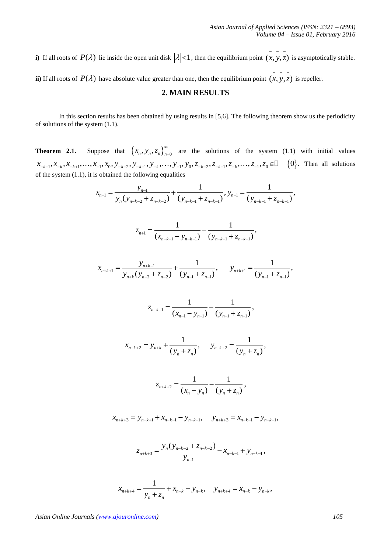**i**) If all roots of  $P(\lambda)$  lie inside the open unit disk  $|\lambda| < 1$ , then the equilibrium point  $(x, y, z)$ is asymptotically stable.

**ii**) If all roots of  $P(\lambda)$  have absolute value greater than one, then the equilibrium point  $(x, y, z)$ is repeller.

## **2. MAIN RESULTS**

In this section results has been obtained by using results in [5,6]. The following theorem show us the periodicity of solutions of the system (1.1).

**Theorem 2.1.** Suppose that  $\{x_n, y_n, z_n\}_{n=0}^{\infty}$  $_{=0}$  are the solutions of the system (1.1) with initial values **Theorem 2.1.** Suppose that  $\{x_n, y_n, z_n\}_{n=0}^{\infty}$  are the solutions of the system (1.1) with init  $x_{-k-1}, x_{-k}, x_{-k+1}, \ldots, x_{-1}, x_0, y_{-k-2}, y_{-k-1}, y_{-k}, \ldots, y_{-1}, y_0, z_{-k-2}, z_{-k-1}, z_{-k}, \ldots, z_{-1}, z_0 \in \mathbb{D} - \{0\}$ . Then all  $y_{-k-2}, y_{-k-1}, y_{-k}, \dots, y_{-1}, y_0, z_{-k-2}, z_{-k-1}, z_{-k}, \dots, z_{-1}, z_0 \in \mathbb{Z} \setminus \{0\}$ . Then all solutions<br>ained the following equalities<br>=  $\frac{y_{n-1}}{y_n(y_{n-k-2} + z_{n-k-2})} + \frac{1}{(y_{n-k-1} + z_{n-k-1})}, y_{n+1} = \frac{1}{(y_{n-k-1} + z_{n-k-1})},$ 

of the system (1.1), it is obtained the following equalities  

$$
x_{n+1} = \frac{y_{n-1}}{y_n(y_{n-k-2} + z_{n-k-2})} + \frac{1}{(y_{n-k-1} + z_{n-k-1})}, y_{n+1} = \frac{1}{(y_{n-k-1} + z_{n-k-1})},
$$

$$
z_{n+1} = \frac{1}{(x_{n-k-1} - y_{n-k-1})} - \frac{1}{(y_{n-k-1} + z_{n-k-1})},
$$

$$
x_{n+k+1} = \frac{y_{n+k-1}}{y_{n+k}(y_{n-2} + z_{n-2})} + \frac{1}{(y_{n-1} + z_{n-1})}, \qquad y_{n+k+1} = \frac{1}{(y_{n-1} + z_{n-1})},
$$

$$
z_{n+k+1} = \frac{1}{(x_{n-1} - y_{n-1})} - \frac{1}{(y_{n-1} + z_{n-1})},
$$

$$
x_{n+k+2} = y_{n+k} + \frac{1}{(y_n + z_n)}, \qquad y_{n+k+2} = \frac{1}{(y_n + z_n)},
$$

$$
z_{n+k+2} = \frac{1}{(x_n - y_n)} - \frac{1}{(y_n + z_n)},
$$

$$
x_{n+k+3} = y_{n+k+1} + x_{n-k-1} - y_{n-k-1}, \quad y_{n+k+3} = x_{n-k-1} - y_{n-k-1},
$$

$$
z_{n+k+3} = \frac{y_n (y_{n-k-2} + z_{n-k-2})}{y_{n-1}} - x_{n-k-1} + y_{n-k-1},
$$

$$
x_{n+k+4} = \frac{1}{y_n + z_n} + x_{n-k} - y_{n-k}, \quad y_{n+k+4} = x_{n-k} - y_{n-k},
$$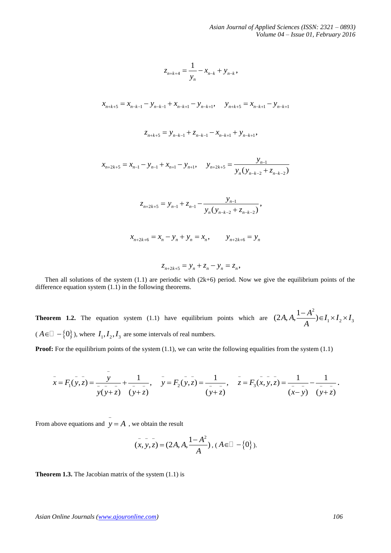$$
z_{n+k+4} = \frac{1}{y_n} - x_{n-k} + y_{n-k},
$$

$$
x_{n+1} = x_{n-k-1} - y_{n-k-1} + x_{n-k+1} - y_{n-k+1}, \quad y_{n+k+5} = x_{n-k+1} - y_{n-k+1}
$$

$$
z_{n+k+5} = y_{n-k-1} + z_{n-k-1} - x_{n-k+1} + y_{n-k+1},
$$

$$
x_{n+2k+5} = x_{n-1} - y_{n-1} + x_{n+1} - y_{n+1}, \quad y_{n+2k+5} = \frac{y_{n-1}}{y_n(y_{n-k-2} + z_{n-k-2})}
$$

$$
z_{n+2k+5} = y_{n-1} + z_{n-1} - \frac{y_{n-1}}{y_n(y_{n-k-2} + z_{n-k-2})},
$$

$$
x_{n+2k+6} = x_n - y_n + y_n = x_n, \qquad y_{n+2k+6} = y_n
$$

$$
z_{n+2k+5} = y_n + z_n - y_n = z_n,
$$

Then all solutions of the system  $(1.1)$  are periodic with  $(2k+6)$  period. Now we give the equilibrium points of the difference equation system (1.1) in the following theorems.

**Theorem 1.2.** The equation system (1.1) have equilibrium points which are 2  $I_1 \times I_2 \times I_3$  $(2A, A, \frac{1-A^2}{A}) \in I_1 \times I_2 \times I_1$  $\frac{-A^2}{4}$  $\in I_1 \times I_2 \times I_3$  $(A \in \square - \{0\})$ , where  $I_1, I_2, I_3$  are some intervals of real numbers.

**Proof:** For the equilibrium points of the system (1.1), we can write the following equalities from the system (1.1)  
\n
$$
\bar{x} = F_1(y, z) = \frac{y}{z - z - z} + \frac{1}{z - z - z}, \quad \bar{y} = F_2(y, z) = \frac{1}{z - z - z}, \quad \bar{z} = F_3(x, y, z) = \frac{1}{z - z - z} - \frac{1}{(y + z)}.
$$
\n
$$
\bar{y}(y + \bar{z}) = \frac{1}{(y + \bar{z})} - \frac{1}{(y + \bar{z})}.
$$

From above equations and  $y = A$ , we obtain the result

$$
(x, y, z) = (2A, A, \frac{1 - A^2}{A}), (A \in \square - \{0\}).
$$

**Theorem 1.3.** The Jacobian matrix of the system (1.1) is

*Asian Online Journals (www.ajouronline.com) 106*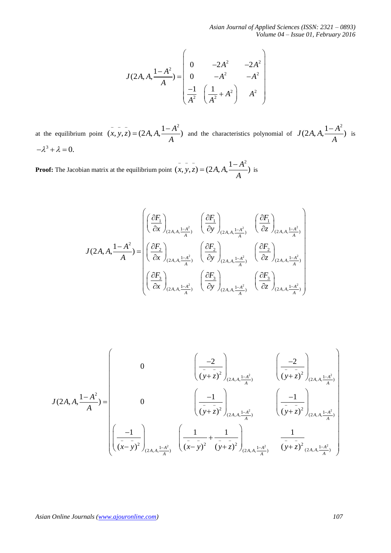*Asian Journal of Applied Sciences (ISSN: 2321 – 0893) Volume 04 – Issue 01, February 2016*

$$
J(2A, A, \frac{1-A^2}{A}) = \begin{pmatrix} 0 & -2A^2 & -2A^2 \ 0 & -A^2 & -A^2 \ \frac{-1}{A^2} & \left(\frac{1}{A^2} + A^2\right) & A^2 \end{pmatrix}
$$

at the equilibrium point  $(x, y, z) = (2A, A, \frac{1 - A^2}{A})$  $(x, y, z) = (2A, A, \frac{1-A^2}{4})$  and the characteristics polynomial of  $J(2A, A, \frac{1-A^2}{4})$ *A*  $\frac{-A^2}{\cdot}$ ) is  $-\lambda^3 + \lambda = 0.$ 

**Proof:** The Jacobian matrix at the equilibrium point  $(x, y, z) = (2A, A, \frac{1 - A^2}{A})$  $(x, y, z) = (2A, A, \frac{1-A^2}{4})$  is

$$
J(2A, A, \frac{1-A^2}{A}) = \begin{pmatrix} \left(\frac{\partial F_1}{\partial x}\right)_{(2A, A, \frac{1-A^2}{A})} & \left(\frac{\partial F_1}{\partial y}\right)_{(2A, A, \frac{1-A^2}{A})} & \left(\frac{\partial F_1}{\partial z}\right)_{(2A, A, \frac{1-A^2}{A})} \\ \left(\frac{\partial F_2}{\partial x}\right)_{(2A, A, \frac{1-A^2}{A})} & \left(\frac{\partial F_2}{\partial y}\right)_{(2A, A, \frac{1-A^2}{A})} & \left(\frac{\partial F_2}{\partial z}\right)_{(2A, A, \frac{1-A^2}{A})} \\ \left(\frac{\partial F_3}{\partial x}\right)_{(2A, A, \frac{1-A^2}{A})} & \left(\frac{\partial F_3}{\partial y}\right)_{(2A, A, \frac{1-A^2}{A})} & \left(\frac{\partial F_3}{\partial z}\right)_{(2A, A, \frac{1-A^2}{A})} \end{pmatrix}
$$

$$
J(2A, A, \frac{1-A^2}{A}) = \begin{bmatrix} 0 & -2A^2 & -2A^2 \ 0 & -A^2 & -A^2 \ \frac{-1}{A^2} & \frac{1}{(A^2 + A^2)} & A^2 \end{bmatrix}
$$
  
at the equilibrium point  $(x, y, z) = (2A, A, \frac{1-A^2}{A})$  and the characteristics polynomial of  $J(2A, A, \frac{1-A^2}{A})$  is  
 $-A^3 + \lambda = 0$ .  
**Proof:** The Jacobian matrix at the equilibrium point  $(\bar{x}, \bar{y}, \bar{z}) = (2A, A, \frac{1-A^2}{A})$  is  

$$
J(2A, A, \frac{1-A^2}{A}) = \begin{pmatrix} \left(\frac{\partial F_1}{\partial x}\right)_{(2A, A, \frac{1-A^2}{A})} & \left(\frac{\partial F_1}{\partial y}\right)_{(2A, A, \frac{1-A^2}{A})} & \left(\frac{\partial F_1}{\partial z}\right)_{(2A, A, \frac{1-A^2}{A})} \\ \left(\frac{\partial F_2}{\partial x}\right)_{(2A, A, \frac{1-A^2}{A})} & \left(\frac{\partial F_2}{\partial y}\right)_{(2A, A, \frac{1-A^2}{A})} & \left(\frac{\partial F_2}{\partial z}\right)_{(2A, A, \frac{1-A^2}{A})} \end{pmatrix}
$$

$$
J(2A, A, \frac{1-A^2}{A}) = \begin{pmatrix} 0 & \left(\frac{\partial F_2}{\partial x}\right)_{(2A, A, \frac{1-A^2}{A})} & \left(\frac{\partial F_2}{\partial y}\right)_{(2A, A, \frac{1-A^2}{A})} \\ \left(\frac{\partial F_2}{\partial x}\right)_{(2A, A, \frac{1-A^2}{A})} & \left(\frac{\partial F_2}{\partial y}\right)_{(2A, A, \frac{1-A^2}{A})} \end{bmatrix}
$$

$$
J(2A, A, \frac{1-A^2}{A}) = \begin{pmatrix} 0 & \left(\frac{-2}{(y+z)^2}\right)_{(2A, A, \frac{1-A^2}{A})} & \left(\frac{-2}{(y+z)^2}\right)_{(2A, A, \frac{1-A^2}{A})} \\ \left(\frac{-1}{(x-y
$$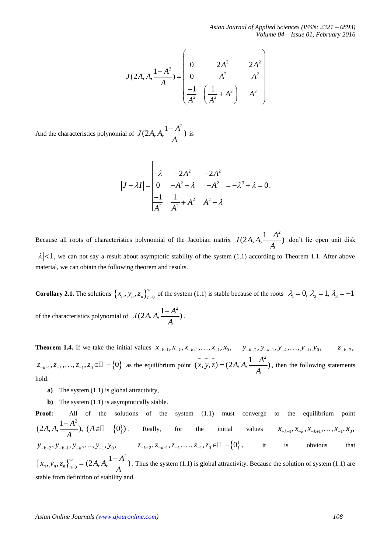*Asian Journal of Applied Sciences (ISSN: 2321 – 0893) Volume 04 – Issue 01, February 2016*

$$
J(2A, A, \frac{1-A^2}{A}) = \begin{pmatrix} 0 & -2A^2 & -2A^2 \ 0 & -A^2 & -A^2 \ \frac{-1}{A^2} & \left(\frac{1}{A^2} + A^2\right) & A^2 \end{pmatrix}
$$

And the characteristics polynomial of  $J(2A, A, \frac{1-A^2}{4})$ *A*  $\frac{-A^2}{\cdot}$ ) is

$$
|J - \lambda I| = \begin{vmatrix} -\lambda & -2A^2 & -2A^2 \\ 0 & -A^2 - \lambda & -A^2 \\ \frac{-1}{A^2} & \frac{1}{A^2} + A^2 & A^2 - \lambda \end{vmatrix} = -\lambda^3 + \lambda = 0.
$$

Because all roots of characteristics polynomial of the Jacobian matrix  $J(2A, A, \frac{1-A^2}{4})$ *A*  $\frac{-A^2}{\cdot}$  don't lie open unit disk  $\lambda$  |<1, we can not say a result about asymptotic stability of the system (1.1) according to Theorem 1.1. After above material, we can obtain the following theorem and results.

**Corollary 2.1.** The solutions  $\{x_n, y_n, z_n\}_{n=0}^{\infty}$ of the system (1.1) is stable because of the roots  $\lambda_1 = 0$ ,  $\lambda_2 = 1$ ,  $\lambda_3 = -1$ of the characteristics polynomial of  $J(2A, A, \frac{1-A^2}{\cdot})$ *A*  $\frac{-A^2}{\cdot}$ ).

**Theorem 1.4.** If we take the initial values  $x_{-k-1}, x_{-k}, x_{-k+1}, \ldots, x_{-1}, x_0, \quad y_{-k-2}, y_{-k-1}, y_{-k}, \ldots, y_{-1}, y_0, \quad z_{-k-2}, y_{k-1}, \ldots, y_{k-1}, y_{k-1}, \ldots, y_{k-1}, y_{k-1}, \ldots, y_{k-1}, y_{k-1}, \ldots, y_{k-1}, y_{k-1}, \ldots, y_{k-1}, y_{k-1}, \ldots, y_{k-1}, y_{k-$ 1 1 1 0 2 1 1 0 2 , , , , , , , , , , , , , *k k k k k k k x x x x x y y y y y z z z z z k k* 1 1 0 , , , , 0 as the equilibrium point  $(x, y, z) = (2A, A, \frac{1 - A^2}{A})$  $(x, y, z) = (2A, A, \frac{1-A^2}{z})$ , then the following statements hold:

- **a)** The system (1.1) is global attractivity,
- **b**) The system (1.1) is asymptotically stable.

 $f(2A_1A_1\frac{1-A^2}{A}) = \begin{pmatrix} 0 & -2A^2 & -2A^2 \ 0 & -A^2 & -A^2 \ -A^2 & -A^2 & -A^2 \end{pmatrix}$ <br>
And the characteristic polynomial of  $f(2A_1A_1\frac{1-A^2}{A})$  is<br>
And the characteristic polynomial of  $f(2A_1A_1\frac{1-A^2}{A})$  is<br>  $|J-ZI| = \begin{vmatrix} 2 & -$ **Proof:** All of the solutions of the system (1.1) must converge to the equilibrium point  $\{0\}$  $(2A, A, \frac{1-A^2}{A}), (A \in \square - \{0\})$  $\frac{-A^2}{4}$ ,  $(A \in \mathbb{Z} - \{0\})$ . Really, for the initial values  $x_{-k-1}, x_{-k}, x_{-k+1}, \ldots, x_{-1}, x_0$ ,  $y_{-k-2}, y_{-k-1}, y_{-k}, \dots, y_{-1}, y_0, \qquad z_{-k-2}, z_{-k-1}, z_{-k}, \dots, z_{-1}, z_0 \in \mathbb{D} - \{0\}, \qquad \text{it} \qquad \text{is} \qquad \text{obvious} \qquad \text{that}$  $\{x_{n}, y_{n}, z_{n}\}_{n=0}^{\infty}$  $\sum_{n=0}^{\infty}$  =  $(2A, A, \frac{1-A^2}{A})$ *A*  $\left( \frac{-A^2}{\cdot} \right)$ . Thus the system (1.1) is global attractivity. Because the solution of system (1.1) are stable from definition of stability and